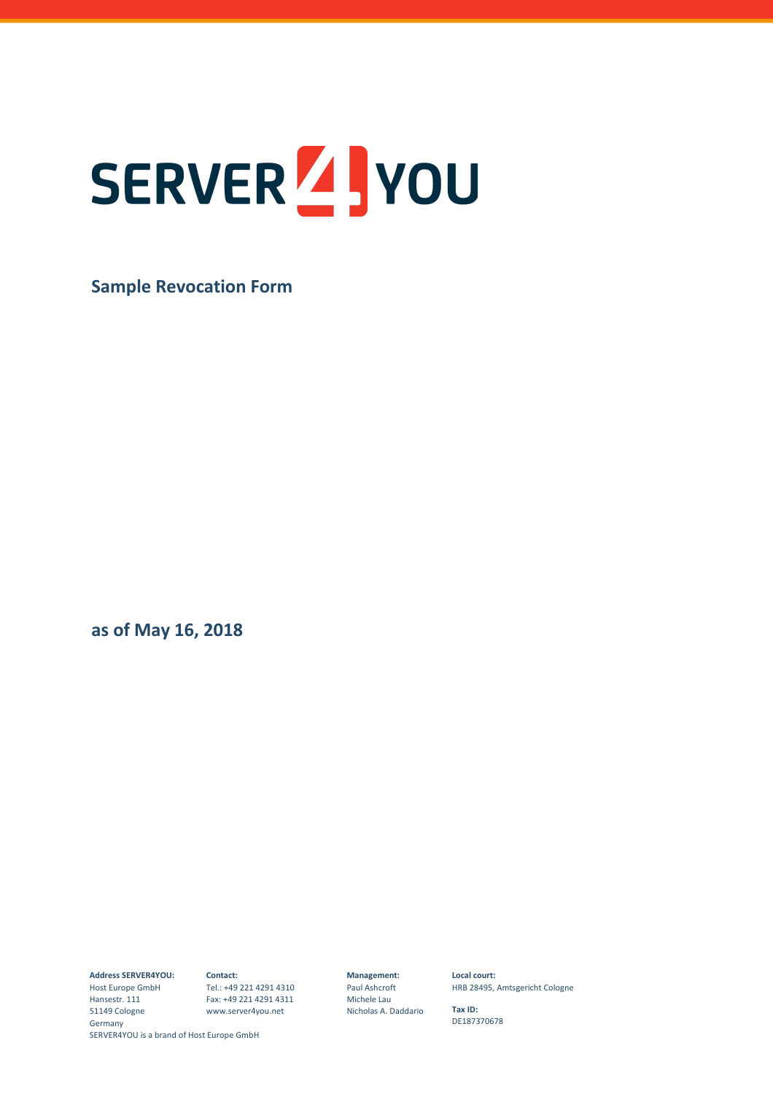## SERVER 4 you

**Sample Revocation Form** 

**as of May 16, 2018** 

**Address SERVER4YOU:** 

SERVER4YOU is a brand of Host Europe GmbH Host Europe GmbH Tel.: +49 221 4291 4310 Hansestr. 111 51149 Cologne Germany

**Contact:** Fax: +49 221 4291 4311 www.server4you.net

**Management:**  Paul Ashcroft Michele Lau Nicholas A. Daddario **Local court:**  HRB 28495, Amtsgericht Cologne

**Tax ID:**  DE187370678